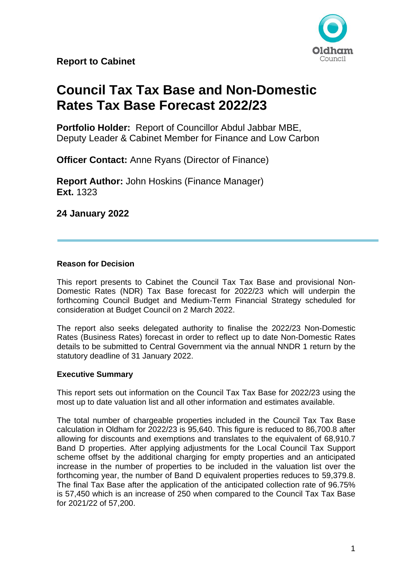

# **Council Tax Tax Base and Non-Domestic Rates Tax Base Forecast 2022/23**

**Portfolio Holder:** Report of Councillor Abdul Jabbar MBE, Deputy Leader & Cabinet Member for Finance and Low Carbon

**Officer Contact:** Anne Ryans (Director of Finance)

**Report Author:** John Hoskins (Finance Manager) **Ext.** 1323

**24 January 2022**

# **Reason for Decision**

This report presents to Cabinet the Council Tax Tax Base and provisional Non-Domestic Rates (NDR) Tax Base forecast for 2022/23 which will underpin the forthcoming Council Budget and Medium-Term Financial Strategy scheduled for consideration at Budget Council on 2 March 2022.

The report also seeks delegated authority to finalise the 2022/23 Non-Domestic Rates (Business Rates) forecast in order to reflect up to date Non-Domestic Rates details to be submitted to Central Government via the annual NNDR 1 return by the statutory deadline of 31 January 2022.

# **Executive Summary**

This report sets out information on the Council Tax Tax Base for 2022/23 using the most up to date valuation list and all other information and estimates available.

The total number of chargeable properties included in the Council Tax Tax Base calculation in Oldham for 2022/23 is 95,640. This figure is reduced to 86,700.8 after allowing for discounts and exemptions and translates to the equivalent of 68,910.7 Band D properties. After applying adjustments for the Local Council Tax Support scheme offset by the additional charging for empty properties and an anticipated increase in the number of properties to be included in the valuation list over the forthcoming year, the number of Band D equivalent properties reduces to 59,379.8. The final Tax Base after the application of the anticipated collection rate of 96.75% is 57,450 which is an increase of 250 when compared to the Council Tax Tax Base for 2021/22 of 57,200.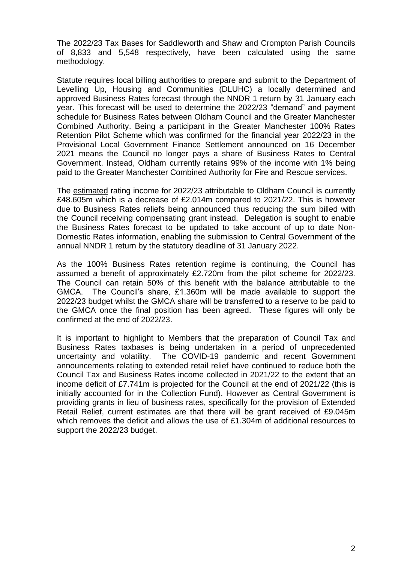The 2022/23 Tax Bases for Saddleworth and Shaw and Crompton Parish Councils of 8,833 and 5,548 respectively, have been calculated using the same methodology.

Statute requires local billing authorities to prepare and submit to the Department of Levelling Up, Housing and Communities (DLUHC) a locally determined and approved Business Rates forecast through the NNDR 1 return by 31 January each year. This forecast will be used to determine the 2022/23 "demand" and payment schedule for Business Rates between Oldham Council and the Greater Manchester Combined Authority. Being a participant in the Greater Manchester 100% Rates Retention Pilot Scheme which was confirmed for the financial year 2022/23 in the Provisional Local Government Finance Settlement announced on 16 December 2021 means the Council no longer pays a share of Business Rates to Central Government. Instead, Oldham currently retains 99% of the income with 1% being paid to the Greater Manchester Combined Authority for Fire and Rescue services.

The estimated rating income for 2022/23 attributable to Oldham Council is currently £48.605m which is a decrease of £2.014m compared to 2021/22. This is however due to Business Rates reliefs being announced thus reducing the sum billed with the Council receiving compensating grant instead. Delegation is sought to enable the Business Rates forecast to be updated to take account of up to date Non-Domestic Rates information, enabling the submission to Central Government of the annual NNDR 1 return by the statutory deadline of 31 January 2022.

As the 100% Business Rates retention regime is continuing, the Council has assumed a benefit of approximately £2.720m from the pilot scheme for 2022/23. The Council can retain 50% of this benefit with the balance attributable to the GMCA. The Council's share, £1.360m will be made available to support the 2022/23 budget whilst the GMCA share will be transferred to a reserve to be paid to the GMCA once the final position has been agreed. These figures will only be confirmed at the end of 2022/23.

It is important to highlight to Members that the preparation of Council Tax and Business Rates taxbases is being undertaken in a period of unprecedented uncertainty and volatility. The COVID-19 pandemic and recent Government announcements relating to extended retail relief have continued to reduce both the Council Tax and Business Rates income collected in 2021/22 to the extent that an income deficit of £7.741m is projected for the Council at the end of 2021/22 (this is initially accounted for in the Collection Fund). However as Central Government is providing grants in lieu of business rates, specifically for the provision of Extended Retail Relief, current estimates are that there will be grant received of £9.045m which removes the deficit and allows the use of £1.304m of additional resources to support the 2022/23 budget.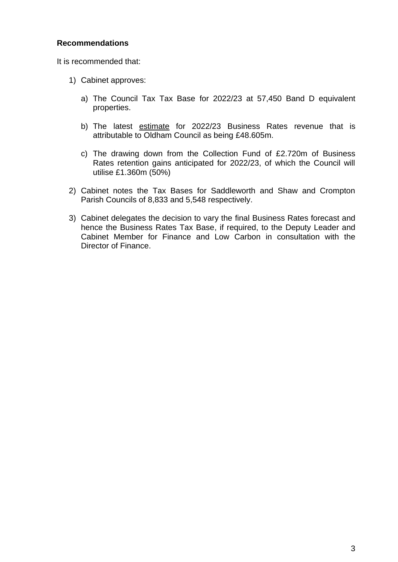# **Recommendations**

It is recommended that:

- 1) Cabinet approves:
	- a) The Council Tax Tax Base for 2022/23 at 57,450 Band D equivalent properties.
	- b) The latest estimate for 2022/23 Business Rates revenue that is attributable to Oldham Council as being £48.605m.
	- c) The drawing down from the Collection Fund of £2.720m of Business Rates retention gains anticipated for 2022/23, of which the Council will utilise £1.360m (50%)
- 2) Cabinet notes the Tax Bases for Saddleworth and Shaw and Crompton Parish Councils of 8,833 and 5,548 respectively.
- 3) Cabinet delegates the decision to vary the final Business Rates forecast and hence the Business Rates Tax Base, if required, to the Deputy Leader and Cabinet Member for Finance and Low Carbon in consultation with the Director of Finance.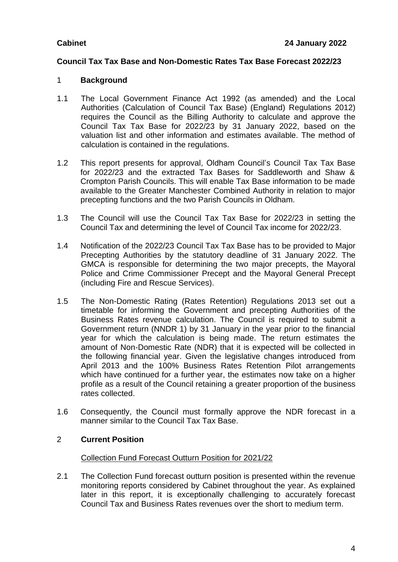# **Council Tax Tax Base and Non-Domestic Rates Tax Base Forecast 2022/23**

# 1 **Background**

- 1.1 The Local Government Finance Act 1992 (as amended) and the Local Authorities (Calculation of Council Tax Base) (England) Regulations 2012) requires the Council as the Billing Authority to calculate and approve the Council Tax Tax Base for 2022/23 by 31 January 2022, based on the valuation list and other information and estimates available. The method of calculation is contained in the regulations.
- 1.2 This report presents for approval, Oldham Council's Council Tax Tax Base for 2022/23 and the extracted Tax Bases for Saddleworth and Shaw & Crompton Parish Councils. This will enable Tax Base information to be made available to the Greater Manchester Combined Authority in relation to major precepting functions and the two Parish Councils in Oldham.
- 1.3 The Council will use the Council Tax Tax Base for 2022/23 in setting the Council Tax and determining the level of Council Tax income for 2022/23.
- 1.4 Notification of the 2022/23 Council Tax Tax Base has to be provided to Major Precepting Authorities by the statutory deadline of 31 January 2022. The GMCA is responsible for determining the two major precepts, the Mayoral Police and Crime Commissioner Precept and the Mayoral General Precept (including Fire and Rescue Services).
- 1.5 The Non-Domestic Rating (Rates Retention) Regulations 2013 set out a timetable for informing the Government and precepting Authorities of the Business Rates revenue calculation. The Council is required to submit a Government return (NNDR 1) by 31 January in the year prior to the financial year for which the calculation is being made. The return estimates the amount of Non-Domestic Rate (NDR) that it is expected will be collected in the following financial year. Given the legislative changes introduced from April 2013 and the 100% Business Rates Retention Pilot arrangements which have continued for a further year, the estimates now take on a higher profile as a result of the Council retaining a greater proportion of the business rates collected.
- 1.6 Consequently, the Council must formally approve the NDR forecast in a manner similar to the Council Tax Tax Base.

# 2 **Current Position**

#### Collection Fund Forecast Outturn Position for 2021/22

2.1 The Collection Fund forecast outturn position is presented within the revenue monitoring reports considered by Cabinet throughout the year. As explained later in this report, it is exceptionally challenging to accurately forecast Council Tax and Business Rates revenues over the short to medium term.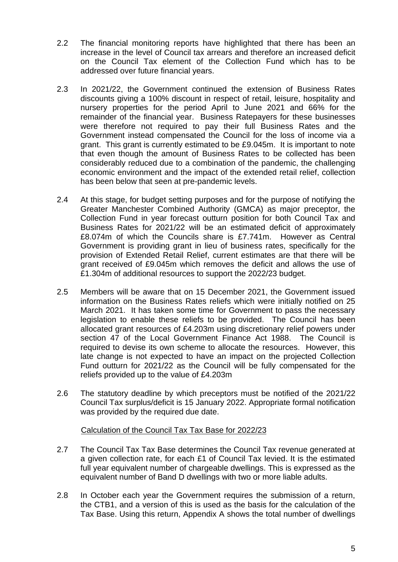- 2.2 The financial monitoring reports have highlighted that there has been an increase in the level of Council tax arrears and therefore an increased deficit on the Council Tax element of the Collection Fund which has to be addressed over future financial years.
- 2.3 In 2021/22, the Government continued the extension of Business Rates discounts giving a 100% discount in respect of retail, leisure, hospitality and nursery properties for the period April to June 2021 and 66% for the remainder of the financial year. Business Ratepayers for these businesses were therefore not required to pay their full Business Rates and the Government instead compensated the Council for the loss of income via a grant. This grant is currently estimated to be £9.045m. It is important to note that even though the amount of Business Rates to be collected has been considerably reduced due to a combination of the pandemic, the challenging economic environment and the impact of the extended retail relief, collection has been below that seen at pre-pandemic levels.
- 2.4 At this stage, for budget setting purposes and for the purpose of notifying the Greater Manchester Combined Authority (GMCA) as major preceptor, the Collection Fund in year forecast outturn position for both Council Tax and Business Rates for 2021/22 will be an estimated deficit of approximately £8.074m of which the Councils share is £7.741m. However as Central Government is providing grant in lieu of business rates, specifically for the provision of Extended Retail Relief, current estimates are that there will be grant received of £9.045m which removes the deficit and allows the use of £1.304m of additional resources to support the 2022/23 budget.
- 2.5 Members will be aware that on 15 December 2021, the Government issued information on the Business Rates reliefs which were initially notified on 25 March 2021. It has taken some time for Government to pass the necessary legislation to enable these reliefs to be provided. The Council has been allocated grant resources of £4.203m using discretionary relief powers under section 47 of the Local Government Finance Act 1988. The Council is required to devise its own scheme to allocate the resources. However, this late change is not expected to have an impact on the projected Collection Fund outturn for 2021/22 as the Council will be fully compensated for the reliefs provided up to the value of £4.203m
- 2.6 The statutory deadline by which preceptors must be notified of the 2021/22 Council Tax surplus/deficit is 15 January 2022. Appropriate formal notification was provided by the required due date.

#### Calculation of the Council Tax Tax Base for 2022/23

- 2.7 The Council Tax Tax Base determines the Council Tax revenue generated at a given collection rate, for each £1 of Council Tax levied. It is the estimated full year equivalent number of chargeable dwellings. This is expressed as the equivalent number of Band D dwellings with two or more liable adults.
- 2.8 In October each year the Government requires the submission of a return, the CTB1, and a version of this is used as the basis for the calculation of the Tax Base. Using this return, Appendix A shows the total number of dwellings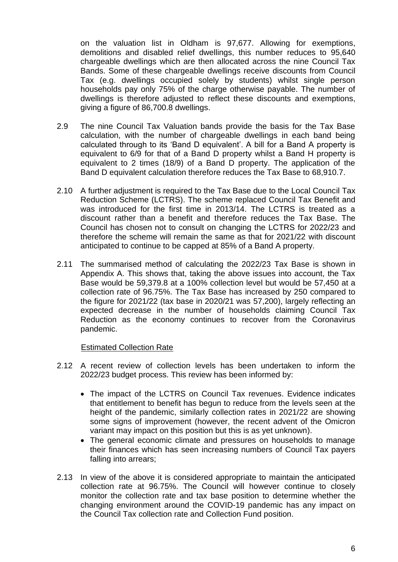on the valuation list in Oldham is 97,677. Allowing for exemptions, demolitions and disabled relief dwellings, this number reduces to 95,640 chargeable dwellings which are then allocated across the nine Council Tax Bands. Some of these chargeable dwellings receive discounts from Council Tax (e.g. dwellings occupied solely by students) whilst single person households pay only 75% of the charge otherwise payable. The number of dwellings is therefore adjusted to reflect these discounts and exemptions, giving a figure of 86,700.8 dwellings.

- 2.9 The nine Council Tax Valuation bands provide the basis for the Tax Base calculation, with the number of chargeable dwellings in each band being calculated through to its 'Band D equivalent'. A bill for a Band A property is equivalent to 6/9 for that of a Band D property whilst a Band H property is equivalent to 2 times (18/9) of a Band D property. The application of the Band D equivalent calculation therefore reduces the Tax Base to 68,910.7.
- 2.10 A further adjustment is required to the Tax Base due to the Local Council Tax Reduction Scheme (LCTRS). The scheme replaced Council Tax Benefit and was introduced for the first time in 2013/14. The LCTRS is treated as a discount rather than a benefit and therefore reduces the Tax Base. The Council has chosen not to consult on changing the LCTRS for 2022/23 and therefore the scheme will remain the same as that for 2021/22 with discount anticipated to continue to be capped at 85% of a Band A property.
- 2.11 The summarised method of calculating the 2022/23 Tax Base is shown in Appendix A. This shows that, taking the above issues into account, the Tax Base would be 59,379.8 at a 100% collection level but would be 57,450 at a collection rate of 96.75%. The Tax Base has increased by 250 compared to the figure for 2021/22 (tax base in 2020/21 was 57,200), largely reflecting an expected decrease in the number of households claiming Council Tax Reduction as the economy continues to recover from the Coronavirus pandemic.

#### Estimated Collection Rate

- 2.12 A recent review of collection levels has been undertaken to inform the 2022/23 budget process. This review has been informed by:
	- The impact of the LCTRS on Council Tax revenues. Evidence indicates that entitlement to benefit has begun to reduce from the levels seen at the height of the pandemic, similarly collection rates in 2021/22 are showing some signs of improvement (however, the recent advent of the Omicron variant may impact on this position but this is as yet unknown).
	- The general economic climate and pressures on households to manage their finances which has seen increasing numbers of Council Tax payers falling into arrears;
- 2.13 In view of the above it is considered appropriate to maintain the anticipated collection rate at 96.75%. The Council will however continue to closely monitor the collection rate and tax base position to determine whether the changing environment around the COVID-19 pandemic has any impact on the Council Tax collection rate and Collection Fund position.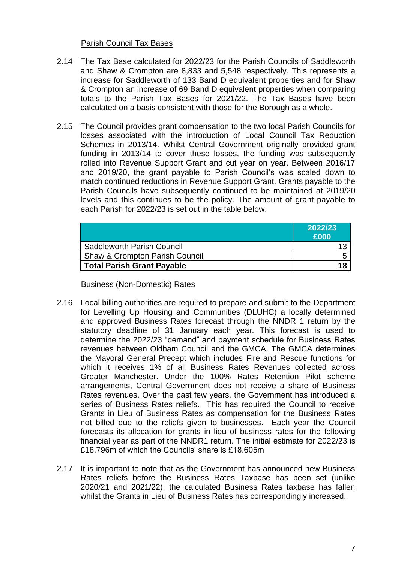# Parish Council Tax Bases

- 2.14 The Tax Base calculated for 2022/23 for the Parish Councils of Saddleworth and Shaw & Crompton are 8,833 and 5,548 respectively. This represents a increase for Saddleworth of 133 Band D equivalent properties and for Shaw & Crompton an increase of 69 Band D equivalent properties when comparing totals to the Parish Tax Bases for 2021/22. The Tax Bases have been calculated on a basis consistent with those for the Borough as a whole.
- 2.15 The Council provides grant compensation to the two local Parish Councils for losses associated with the introduction of Local Council Tax Reduction Schemes in 2013/14. Whilst Central Government originally provided grant funding in 2013/14 to cover these losses, the funding was subsequently rolled into Revenue Support Grant and cut year on year. Between 2016/17 and 2019/20, the grant payable to Parish Council's was scaled down to match continued reductions in Revenue Support Grant. Grants payable to the Parish Councils have subsequently continued to be maintained at 2019/20 levels and this continues to be the policy. The amount of grant payable to each Parish for 2022/23 is set out in the table below.

|                                           | 2022/23 |
|-------------------------------------------|---------|
|                                           | £000    |
| <b>Saddleworth Parish Council</b>         |         |
| <b>Shaw &amp; Crompton Parish Council</b> |         |
| <b>Total Parish Grant Payable</b>         |         |

Business (Non-Domestic) Rates

- 2.16 Local billing authorities are required to prepare and submit to the Department for Levelling Up Housing and Communities (DLUHC) a locally determined and approved Business Rates forecast through the NNDR 1 return by the statutory deadline of 31 January each year. This forecast is used to determine the 2022/23 "demand" and payment schedule for Business Rates revenues between Oldham Council and the GMCA. The GMCA determines the Mayoral General Precept which includes Fire and Rescue functions for which it receives 1% of all Business Rates Revenues collected across Greater Manchester. Under the 100% Rates Retention Pilot scheme arrangements, Central Government does not receive a share of Business Rates revenues. Over the past few years, the Government has introduced a series of Business Rates reliefs. This has required the Council to receive Grants in Lieu of Business Rates as compensation for the Business Rates not billed due to the reliefs given to businesses. Each year the Council forecasts its allocation for grants in lieu of business rates for the following financial year as part of the NNDR1 return. The initial estimate for 2022/23 is £18.796m of which the Councils' share is £18.605m
- 2.17 It is important to note that as the Government has announced new Business Rates reliefs before the Business Rates Taxbase has been set (unlike 2020/21 and 2021/22), the calculated Business Rates taxbase has fallen whilst the Grants in Lieu of Business Rates has correspondingly increased.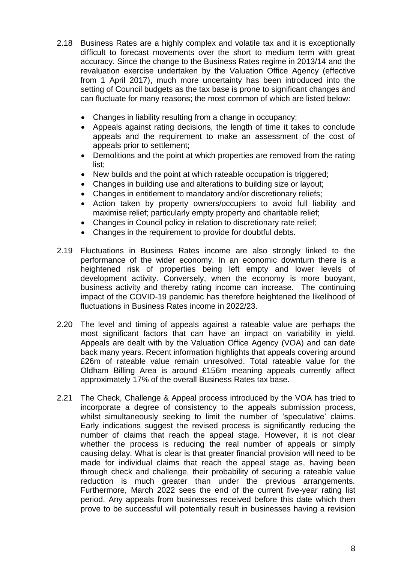- 2.18 Business Rates are a highly complex and volatile tax and it is exceptionally difficult to forecast movements over the short to medium term with great accuracy. Since the change to the Business Rates regime in 2013/14 and the revaluation exercise undertaken by the Valuation Office Agency (effective from 1 April 2017), much more uncertainty has been introduced into the setting of Council budgets as the tax base is prone to significant changes and can fluctuate for many reasons; the most common of which are listed below:
	- Changes in liability resulting from a change in occupancy;
	- Appeals against rating decisions, the length of time it takes to conclude appeals and the requirement to make an assessment of the cost of appeals prior to settlement;
	- Demolitions and the point at which properties are removed from the rating list;
	- New builds and the point at which rateable occupation is triggered;
	- Changes in building use and alterations to building size or layout;
	- Changes in entitlement to mandatory and/or discretionary reliefs;
	- Action taken by property owners/occupiers to avoid full liability and maximise relief; particularly empty property and charitable relief;
	- Changes in Council policy in relation to discretionary rate relief;
	- Changes in the requirement to provide for doubtful debts.
- 2.19 Fluctuations in Business Rates income are also strongly linked to the performance of the wider economy. In an economic downturn there is a heightened risk of properties being left empty and lower levels of development activity. Conversely, when the economy is more buoyant, business activity and thereby rating income can increase. The continuing impact of the COVID-19 pandemic has therefore heightened the likelihood of fluctuations in Business Rates income in 2022/23.
- 2.20 The level and timing of appeals against a rateable value are perhaps the most significant factors that can have an impact on variability in yield. Appeals are dealt with by the Valuation Office Agency (VOA) and can date back many years. Recent information highlights that appeals covering around £26m of rateable value remain unresolved. Total rateable value for the Oldham Billing Area is around £156m meaning appeals currently affect approximately 17% of the overall Business Rates tax base.
- 2.21 The Check, Challenge & Appeal process introduced by the VOA has tried to incorporate a degree of consistency to the appeals submission process, whilst simultaneously seeking to limit the number of 'speculative' claims. Early indications suggest the revised process is significantly reducing the number of claims that reach the appeal stage. However, it is not clear whether the process is reducing the real number of appeals or simply causing delay. What is clear is that greater financial provision will need to be made for individual claims that reach the appeal stage as, having been through check and challenge, their probability of securing a rateable value reduction is much greater than under the previous arrangements. Furthermore, March 2022 sees the end of the current five-year rating list period. Any appeals from businesses received before this date which then prove to be successful will potentially result in businesses having a revision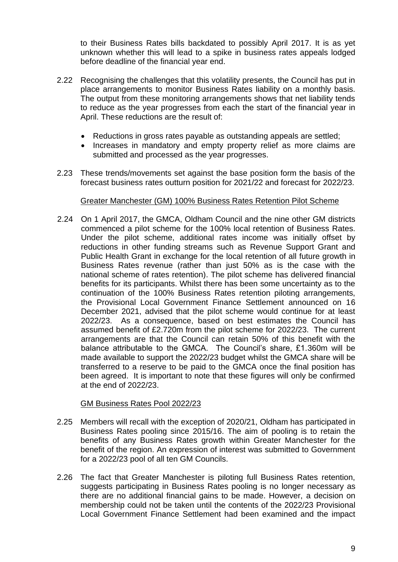to their Business Rates bills backdated to possibly April 2017. It is as yet unknown whether this will lead to a spike in business rates appeals lodged before deadline of the financial year end.

- 2.22 Recognising the challenges that this volatility presents, the Council has put in place arrangements to monitor Business Rates liability on a monthly basis. The output from these monitoring arrangements shows that net liability tends to reduce as the year progresses from each the start of the financial year in April. These reductions are the result of:
	- Reductions in gross rates payable as outstanding appeals are settled;
	- Increases in mandatory and empty property relief as more claims are submitted and processed as the year progresses.
- 2.23 These trends/movements set against the base position form the basis of the forecast business rates outturn position for 2021/22 and forecast for 2022/23.

#### Greater Manchester (GM) 100% Business Rates Retention Pilot Scheme

2.24 On 1 April 2017, the GMCA, Oldham Council and the nine other GM districts commenced a pilot scheme for the 100% local retention of Business Rates. Under the pilot scheme, additional rates income was initially offset by reductions in other funding streams such as Revenue Support Grant and Public Health Grant in exchange for the local retention of all future growth in Business Rates revenue (rather than just 50% as is the case with the national scheme of rates retention). The pilot scheme has delivered financial benefits for its participants. Whilst there has been some uncertainty as to the continuation of the 100% Business Rates retention piloting arrangements, the Provisional Local Government Finance Settlement announced on 16 December 2021, advised that the pilot scheme would continue for at least 2022/23. As a consequence, based on best estimates the Council has assumed benefit of £2.720m from the pilot scheme for 2022/23. The current arrangements are that the Council can retain 50% of this benefit with the balance attributable to the GMCA. The Council's share, £1.360m will be made available to support the 2022/23 budget whilst the GMCA share will be transferred to a reserve to be paid to the GMCA once the final position has been agreed. It is important to note that these figures will only be confirmed at the end of 2022/23.

#### GM Business Rates Pool 2022/23

- 2.25 Members will recall with the exception of 2020/21, Oldham has participated in Business Rates pooling since 2015/16. The aim of pooling is to retain the benefits of any Business Rates growth within Greater Manchester for the benefit of the region. An expression of interest was submitted to Government for a 2022/23 pool of all ten GM Councils.
- 2.26 The fact that Greater Manchester is piloting full Business Rates retention, suggests participating in Business Rates pooling is no longer necessary as there are no additional financial gains to be made. However, a decision on membership could not be taken until the contents of the 2022/23 Provisional Local Government Finance Settlement had been examined and the impact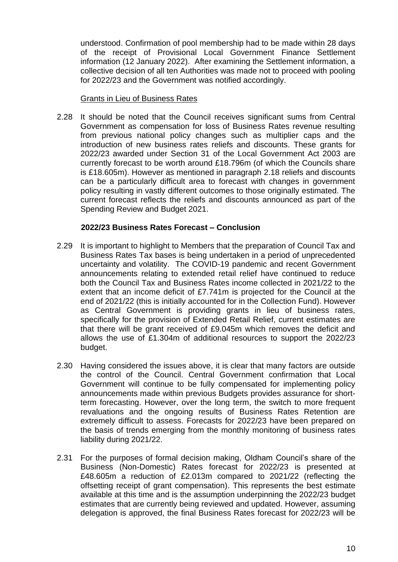understood. Confirmation of pool membership had to be made within 28 days of the receipt of Provisional Local Government Finance Settlement information (12 January 2022). After examining the Settlement information, a collective decision of all ten Authorities was made not to proceed with pooling for 2022/23 and the Government was notified accordingly.

#### Grants in Lieu of Business Rates

2.28 It should be noted that the Council receives significant sums from Central Government as compensation for loss of Business Rates revenue resulting from previous national policy changes such as multiplier caps and the introduction of new business rates reliefs and discounts. These grants for 2022/23 awarded under Section 31 of the Local Government Act 2003 are currently forecast to be worth around £18.796m (of which the Councils share is £18.605m). However as mentioned in paragraph 2.18 reliefs and discounts can be a particularly difficult area to forecast with changes in government policy resulting in vastly different outcomes to those originally estimated. The current forecast reflects the reliefs and discounts announced as part of the Spending Review and Budget 2021.

#### **2022/23 Business Rates Forecast – Conclusion**

- 2.29 It is important to highlight to Members that the preparation of Council Tax and Business Rates Tax bases is being undertaken in a period of unprecedented uncertainty and volatility. The COVID-19 pandemic and recent Government announcements relating to extended retail relief have continued to reduce both the Council Tax and Business Rates income collected in 2021/22 to the extent that an income deficit of £7.741m is projected for the Council at the end of 2021/22 (this is initially accounted for in the Collection Fund). However as Central Government is providing grants in lieu of business rates, specifically for the provision of Extended Retail Relief, current estimates are that there will be grant received of £9.045m which removes the deficit and allows the use of £1.304m of additional resources to support the 2022/23 budget.
- 2.30 Having considered the issues above, it is clear that many factors are outside the control of the Council. Central Government confirmation that Local Government will continue to be fully compensated for implementing policy announcements made within previous Budgets provides assurance for shortterm forecasting. However, over the long term, the switch to more frequent revaluations and the ongoing results of Business Rates Retention are extremely difficult to assess. Forecasts for 2022/23 have been prepared on the basis of trends emerging from the monthly monitoring of business rates liability during 2021/22.
- 2.31 For the purposes of formal decision making, Oldham Council's share of the Business (Non-Domestic) Rates forecast for 2022/23 is presented at £48.605m a reduction of £2.013m compared to 2021/22 (reflecting the offsetting receipt of grant compensation). This represents the best estimate available at this time and is the assumption underpinning the 2022/23 budget estimates that are currently being reviewed and updated. However, assuming delegation is approved, the final Business Rates forecast for 2022/23 will be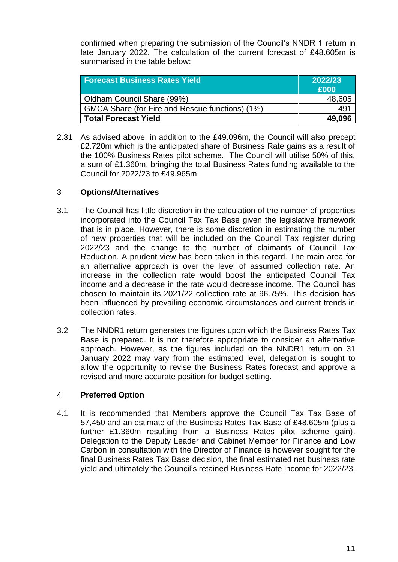confirmed when preparing the submission of the Council's NNDR 1 return in late January 2022. The calculation of the current forecast of £48.605m is summarised in the table below:

| <b>Forecast Business Rates Yield</b>            | 2022/23<br>£000 |
|-------------------------------------------------|-----------------|
| Oldham Council Share (99%)                      | 48,605          |
| GMCA Share (for Fire and Rescue functions) (1%) | 49'             |
| <b>Total Forecast Yield</b>                     | 49,096          |

2.31 As advised above, in addition to the £49.096m, the Council will also precept £2.720m which is the anticipated share of Business Rate gains as a result of the 100% Business Rates pilot scheme. The Council will utilise 50% of this, a sum of £1.360m, bringing the total Business Rates funding available to the Council for 2022/23 to £49.965m.

# 3 **Options/Alternatives**

- 3.1 The Council has little discretion in the calculation of the number of properties incorporated into the Council Tax Tax Base given the legislative framework that is in place. However, there is some discretion in estimating the number of new properties that will be included on the Council Tax register during 2022/23 and the change to the number of claimants of Council Tax Reduction. A prudent view has been taken in this regard. The main area for an alternative approach is over the level of assumed collection rate. An increase in the collection rate would boost the anticipated Council Tax income and a decrease in the rate would decrease income. The Council has chosen to maintain its 2021/22 collection rate at 96.75%. This decision has been influenced by prevailing economic circumstances and current trends in collection rates.
- 3.2 The NNDR1 return generates the figures upon which the Business Rates Tax Base is prepared. It is not therefore appropriate to consider an alternative approach. However, as the figures included on the NNDR1 return on 31 January 2022 may vary from the estimated level, delegation is sought to allow the opportunity to revise the Business Rates forecast and approve a revised and more accurate position for budget setting.

# 4 **Preferred Option**

4.1 It is recommended that Members approve the Council Tax Tax Base of 57,450 and an estimate of the Business Rates Tax Base of £48.605m (plus a further £1.360m resulting from a Business Rates pilot scheme gain). Delegation to the Deputy Leader and Cabinet Member for Finance and Low Carbon in consultation with the Director of Finance is however sought for the final Business Rates Tax Base decision, the final estimated net business rate yield and ultimately the Council's retained Business Rate income for 2022/23.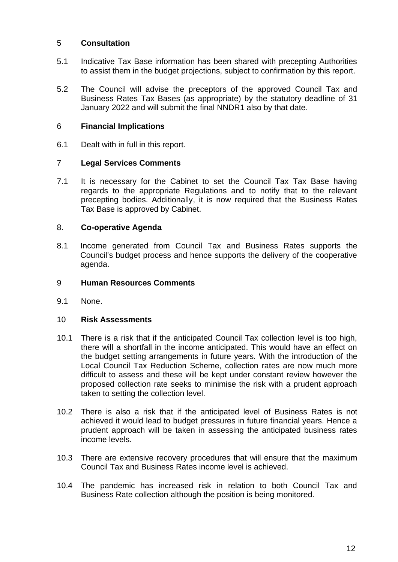# 5 **Consultation**

- 5.1 Indicative Tax Base information has been shared with precepting Authorities to assist them in the budget projections, subject to confirmation by this report.
- 5.2 The Council will advise the preceptors of the approved Council Tax and Business Rates Tax Bases (as appropriate) by the statutory deadline of 31 January 2022 and will submit the final NNDR1 also by that date.

### 6 **Financial Implications**

6.1 Dealt with in full in this report.

# 7 **Legal Services Comments**

7.1 It is necessary for the Cabinet to set the Council Tax Tax Base having regards to the appropriate Regulations and to notify that to the relevant precepting bodies. Additionally, it is now required that the Business Rates Tax Base is approved by Cabinet.

# 8. **Co-operative Agenda**

8.1 Income generated from Council Tax and Business Rates supports the Council's budget process and hence supports the delivery of the cooperative agenda.

#### 9 **Human Resources Comments**

9.1 None.

#### 10 **Risk Assessments**

- 10.1 There is a risk that if the anticipated Council Tax collection level is too high, there will a shortfall in the income anticipated. This would have an effect on the budget setting arrangements in future years. With the introduction of the Local Council Tax Reduction Scheme, collection rates are now much more difficult to assess and these will be kept under constant review however the proposed collection rate seeks to minimise the risk with a prudent approach taken to setting the collection level.
- 10.2 There is also a risk that if the anticipated level of Business Rates is not achieved it would lead to budget pressures in future financial years. Hence a prudent approach will be taken in assessing the anticipated business rates income levels.
- 10.3 There are extensive recovery procedures that will ensure that the maximum Council Tax and Business Rates income level is achieved.
- 10.4 The pandemic has increased risk in relation to both Council Tax and Business Rate collection although the position is being monitored.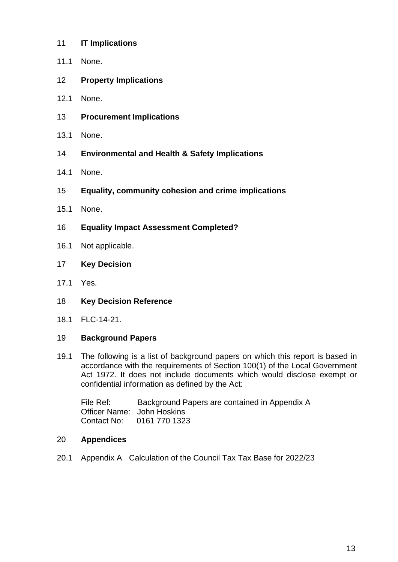- 11 **IT Implications**
- 11.1 None.
- 12 **Property Implications**
- 12.1 None.
- 13 **Procurement Implications**
- 13.1 None.
- 14 **Environmental and Health & Safety Implications**
- 14.1 None.
- 15 **Equality, community cohesion and crime implications**
- 15.1 None.
- 16 **Equality Impact Assessment Completed?**
- 16.1 Not applicable.
- 17 **Key Decision**
- 17.1 Yes.
- 18 **Key Decision Reference**
- 18.1 FLC-14-21.

#### 19 **Background Papers**

19.1 The following is a list of background papers on which this report is based in accordance with the requirements of Section 100(1) of the Local Government Act 1972. It does not include documents which would disclose exempt or confidential information as defined by the Act:

File Ref: Background Papers are contained in Appendix A Officer Name: John Hoskins Contact No: 0161 770 1323

#### 20 **Appendices**

20.1 Appendix A Calculation of the Council Tax Tax Base for 2022/23